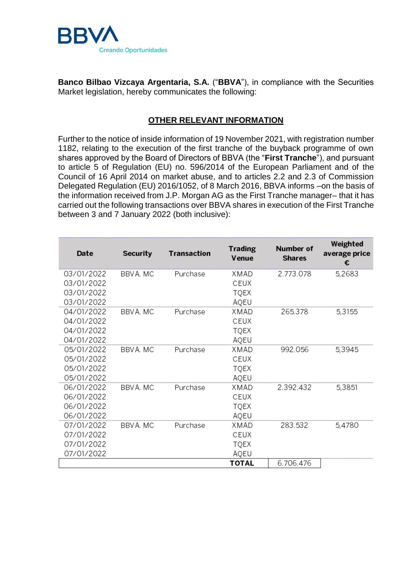

**Banco Bilbao Vizcaya Argentaria, S.A.** ("**BBVA**"), in compliance with the Securities Market legislation, hereby communicates the following:

## **OTHER RELEVANT INFORMATION**

Further to the notice of inside information of 19 November 2021, with registration number 1182, relating to the execution of the first tranche of the buyback programme of own shares approved by the Board of Directors of BBVA (the "**First Tranche**"), and pursuant to article 5 of Regulation (EU) no. 596/2014 of the European Parliament and of the Council of 16 April 2014 on market abuse, and to articles 2.2 and 2.3 of Commission Delegated Regulation (EU) 2016/1052, of 8 March 2016, BBVA informs –on the basis of the information received from J.P. Morgan AG as the First Tranche manager– that it has carried out the following transactions over BBVA shares in execution of the First Tranche between 3 and 7 January 2022 (both inclusive):

| Date       | <b>Security</b> | <b>Transaction</b> | <b>Trading</b><br>Venue | Number of<br><b>Shares</b> | Weighted<br>average price<br>€ |
|------------|-----------------|--------------------|-------------------------|----------------------------|--------------------------------|
| 03/01/2022 | BBVA. MC        | Purchase           | XMAD                    | 2.773.078                  | 5,2683                         |
| 03/01/2022 |                 |                    | CEUX                    |                            |                                |
| 03/01/2022 |                 |                    | <b>TQEX</b>             |                            |                                |
| 03/01/2022 |                 |                    | AQEU                    |                            |                                |
| 04/01/2022 | BBVA, MC        | Purchase           | XMAD                    | 265.378                    | 5,3155                         |
| 04/01/2022 |                 |                    | CEUX                    |                            |                                |
| 04/01/2022 |                 |                    | <b>TQEX</b>             |                            |                                |
| 04/01/2022 |                 |                    | AQEU                    |                            |                                |
| 05/01/2022 | BBVA, MC        | Purchase           | XMAD                    | 992.056                    | 5,3945                         |
| 05/01/2022 |                 |                    | CEUX                    |                            |                                |
| 05/01/2022 |                 |                    | TQEX                    |                            |                                |
| 05/01/2022 |                 |                    | AQEU                    |                            |                                |
| 06/01/2022 | BBVA, MC        | Purchase           | XMAD                    | 2.392.432                  | 5,3851                         |
| 06/01/2022 |                 |                    | CEUX                    |                            |                                |
| 06/01/2022 |                 |                    | <b>TQEX</b>             |                            |                                |
| 06/01/2022 |                 |                    | AQEU                    |                            |                                |
| 07/01/2022 | BBVA, MC        | Purchase           | XMAD                    | 283.532                    | 5,4780                         |
| 07/01/2022 |                 |                    | CEUX                    |                            |                                |
| 07/01/2022 |                 |                    | <b>TQEX</b>             |                            |                                |
| 07/01/2022 |                 |                    | AQEU                    |                            |                                |
|            |                 |                    | <b>TOTAL</b>            | 6.706.476                  |                                |